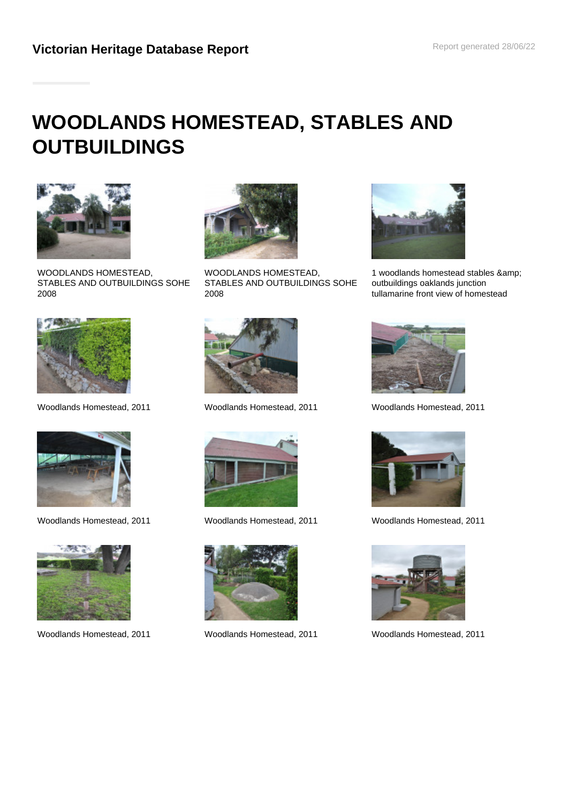# **WOODLANDS HOMESTEAD, STABLES AND OUTBUILDINGS**



WOODLANDS HOMESTEAD, STABLES AND OUTBUILDINGS SOHE 2008



WOODLANDS HOMESTEAD, STABLES AND OUTBUILDINGS SOHE 2008



Woodlands Homestead, 2011 Woodlands Homestead, 2011 Woodlands Homestead, 2011











Woodlands Homestead, 2011 Woodlands Homestead, 2011 Woodlands Homestead, 2011



1 woodlands homestead stables & outbuildings oaklands junction tullamarine front view of homestead





Woodlands Homestead, 2011 Woodlands Homestead, 2011 Woodlands Homestead, 2011

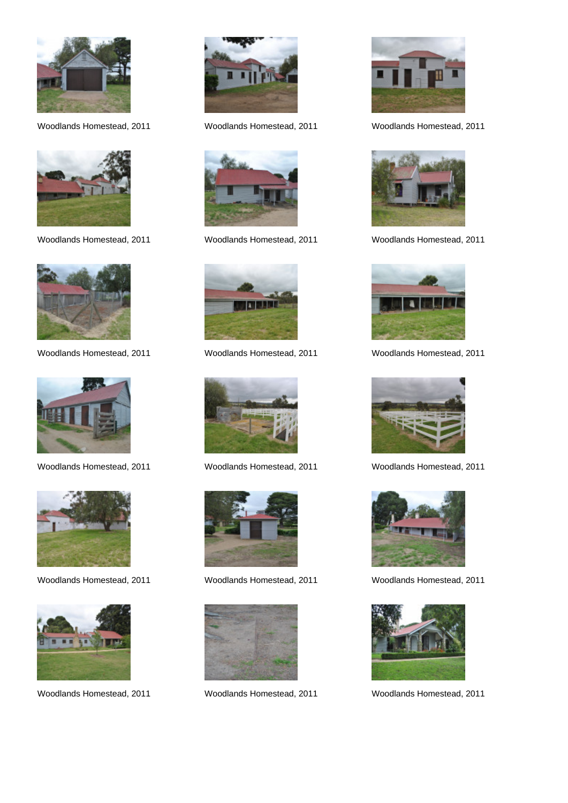

























Woodlands Homestead, 2011 Woodlands Homestead, 2011 Woodlands Homestead, 2011



Woodlands Homestead, 2011 Woodlands Homestead, 2011 Woodlands Homestead, 2011



Woodlands Homestead, 2011 Woodlands Homestead, 2011 Woodlands Homestead, 2011



Woodlands Homestead, 2011 Woodlands Homestead, 2011 Woodlands Homestead, 2011



Woodlands Homestead, 2011 Woodlands Homestead, 2011 Woodlands Homestead, 2011



Woodlands Homestead, 2011 Woodlands Homestead, 2011 Woodlands Homestead, 2011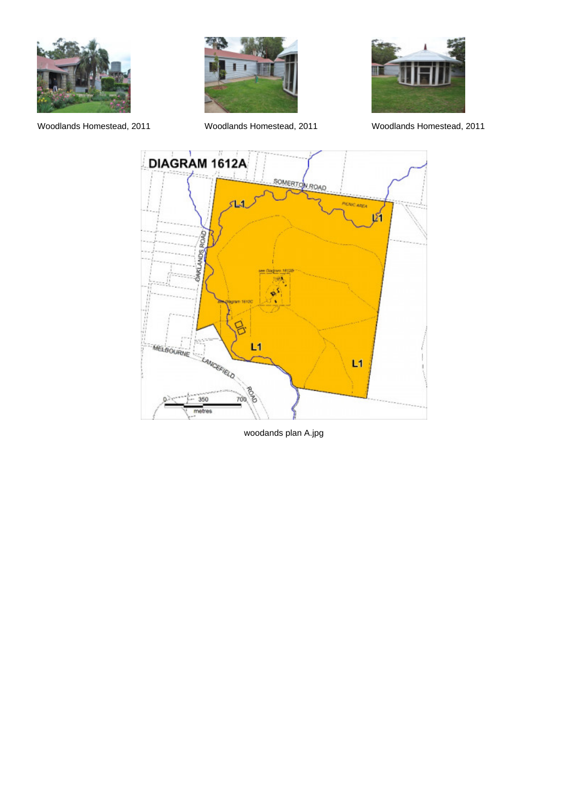





Woodlands Homestead, 2011 Woodlands Homestead, 2011 Woodlands Homestead, 2011



woodands plan A.jpg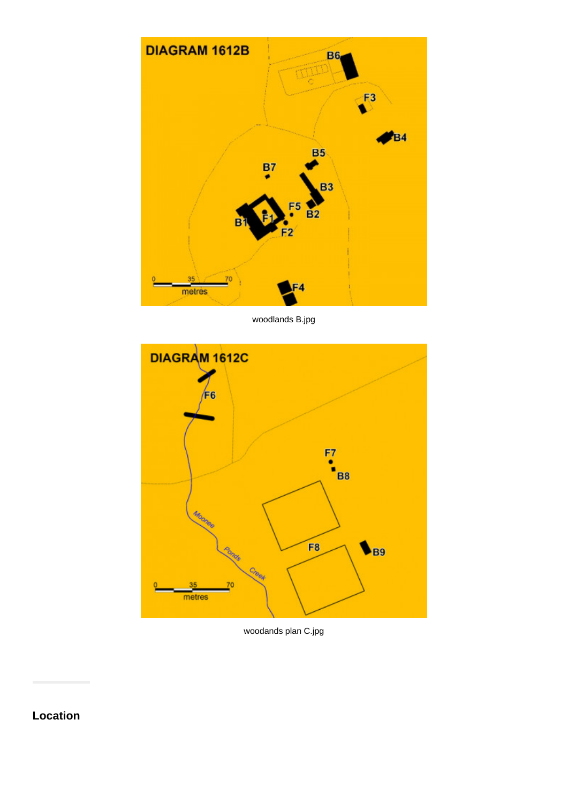

woodlands B.jpg



woodands plan C.jpg

**Location**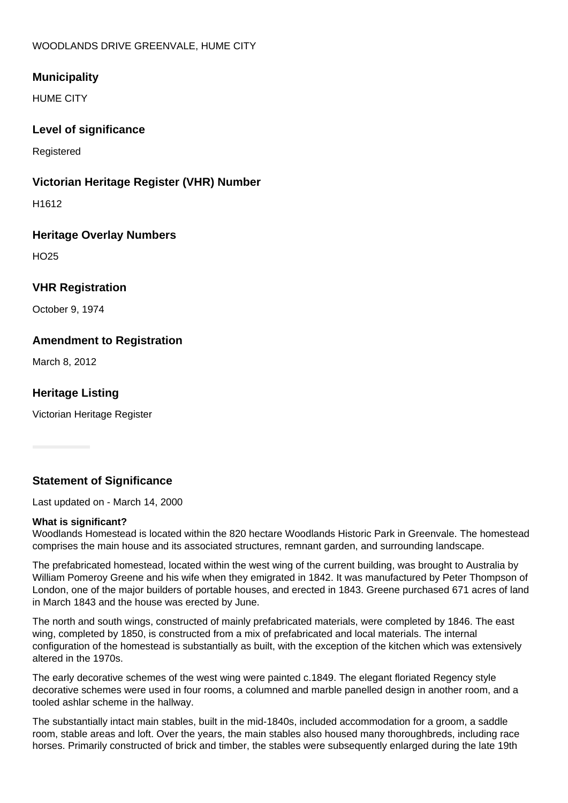## WOODLANDS DRIVE GREENVALE, HUME CITY

## **Municipality**

HUME CITY

## **Level of significance**

**Registered** 

## **Victorian Heritage Register (VHR) Number**

H1612

## **Heritage Overlay Numbers**

HO25

# **VHR Registration**

October 9, 1974

## **Amendment to Registration**

March 8, 2012

# **Heritage Listing**

Victorian Heritage Register

# **Statement of Significance**

Last updated on - March 14, 2000

## **What is significant?**

Woodlands Homestead is located within the 820 hectare Woodlands Historic Park in Greenvale. The homestead comprises the main house and its associated structures, remnant garden, and surrounding landscape.

The prefabricated homestead, located within the west wing of the current building, was brought to Australia by William Pomeroy Greene and his wife when they emigrated in 1842. It was manufactured by Peter Thompson of London, one of the major builders of portable houses, and erected in 1843. Greene purchased 671 acres of land in March 1843 and the house was erected by June.

The north and south wings, constructed of mainly prefabricated materials, were completed by 1846. The east wing, completed by 1850, is constructed from a mix of prefabricated and local materials. The internal configuration of the homestead is substantially as built, with the exception of the kitchen which was extensively altered in the 1970s.

The early decorative schemes of the west wing were painted c.1849. The elegant floriated Regency style decorative schemes were used in four rooms, a columned and marble panelled design in another room, and a tooled ashlar scheme in the hallway.

The substantially intact main stables, built in the mid-1840s, included accommodation for a groom, a saddle room, stable areas and loft. Over the years, the main stables also housed many thoroughbreds, including race horses. Primarily constructed of brick and timber, the stables were subsequently enlarged during the late 19th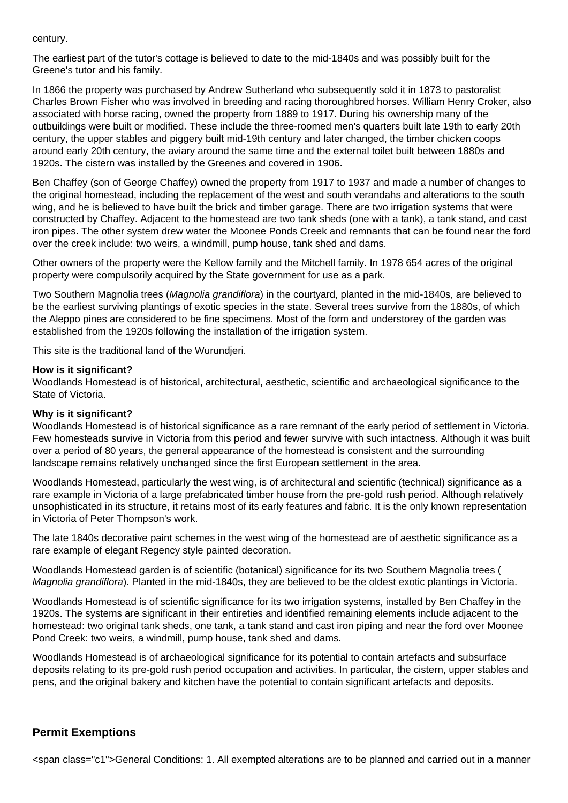#### century.

The earliest part of the tutor's cottage is believed to date to the mid-1840s and was possibly built for the Greene's tutor and his family.

In 1866 the property was purchased by Andrew Sutherland who subsequently sold it in 1873 to pastoralist Charles Brown Fisher who was involved in breeding and racing thoroughbred horses. William Henry Croker, also associated with horse racing, owned the property from 1889 to 1917. During his ownership many of the outbuildings were built or modified. These include the three-roomed men's quarters built late 19th to early 20th century, the upper stables and piggery built mid-19th century and later changed, the timber chicken coops around early 20th century, the aviary around the same time and the external toilet built between 1880s and 1920s. The cistern was installed by the Greenes and covered in 1906.

Ben Chaffey (son of George Chaffey) owned the property from 1917 to 1937 and made a number of changes to the original homestead, including the replacement of the west and south verandahs and alterations to the south wing, and he is believed to have built the brick and timber garage. There are two irrigation systems that were constructed by Chaffey. Adjacent to the homestead are two tank sheds (one with a tank), a tank stand, and cast iron pipes. The other system drew water the Moonee Ponds Creek and remnants that can be found near the ford over the creek include: two weirs, a windmill, pump house, tank shed and dams.

Other owners of the property were the Kellow family and the Mitchell family. In 1978 654 acres of the original property were compulsorily acquired by the State government for use as a park.

Two Southern Magnolia trees (Magnolia grandiflora) in the courtyard, planted in the mid-1840s, are believed to be the earliest surviving plantings of exotic species in the state. Several trees survive from the 1880s, of which the Aleppo pines are considered to be fine specimens. Most of the form and understorey of the garden was established from the 1920s following the installation of the irrigation system.

This site is the traditional land of the Wurundjeri.

#### **How is it significant?**

Woodlands Homestead is of historical, architectural, aesthetic, scientific and archaeological significance to the State of Victoria.

#### **Why is it significant?**

Woodlands Homestead is of historical significance as a rare remnant of the early period of settlement in Victoria. Few homesteads survive in Victoria from this period and fewer survive with such intactness. Although it was built over a period of 80 years, the general appearance of the homestead is consistent and the surrounding landscape remains relatively unchanged since the first European settlement in the area.

Woodlands Homestead, particularly the west wing, is of architectural and scientific (technical) significance as a rare example in Victoria of a large prefabricated timber house from the pre-gold rush period. Although relatively unsophisticated in its structure, it retains most of its early features and fabric. It is the only known representation in Victoria of Peter Thompson's work.

The late 1840s decorative paint schemes in the west wing of the homestead are of aesthetic significance as a rare example of elegant Regency style painted decoration.

Woodlands Homestead garden is of scientific (botanical) significance for its two Southern Magnolia trees ( Magnolia grandiflora). Planted in the mid-1840s, they are believed to be the oldest exotic plantings in Victoria.

Woodlands Homestead is of scientific significance for its two irrigation systems, installed by Ben Chaffey in the 1920s. The systems are significant in their entireties and identified remaining elements include adjacent to the homestead: two original tank sheds, one tank, a tank stand and cast iron piping and near the ford over Moonee Pond Creek: two weirs, a windmill, pump house, tank shed and dams.

Woodlands Homestead is of archaeological significance for its potential to contain artefacts and subsurface deposits relating to its pre-gold rush period occupation and activities. In particular, the cistern, upper stables and pens, and the original bakery and kitchen have the potential to contain significant artefacts and deposits.

## **Permit Exemptions**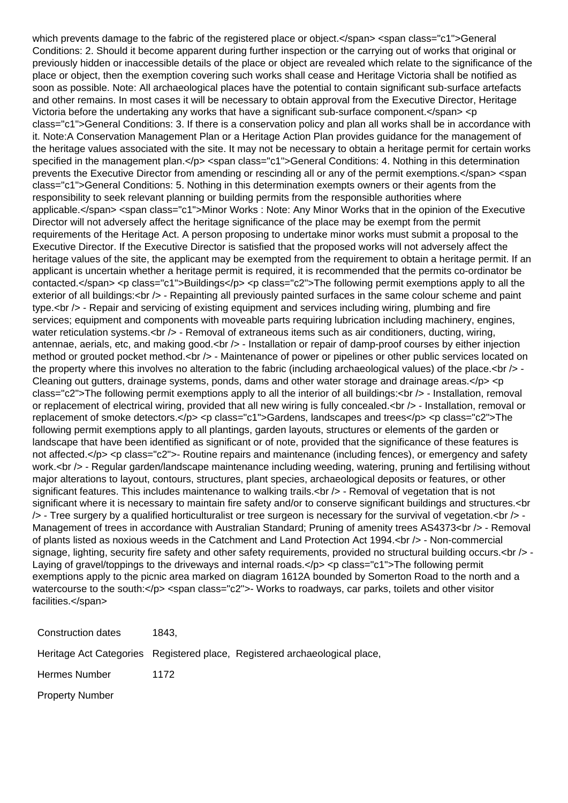which prevents damage to the fabric of the registered place or object.</span> <span class="c1">General Conditions: 2. Should it become apparent during further inspection or the carrying out of works that original or previously hidden or inaccessible details of the place or object are revealed which relate to the significance of the place or object, then the exemption covering such works shall cease and Heritage Victoria shall be notified as soon as possible. Note: All archaeological places have the potential to contain significant sub-surface artefacts and other remains. In most cases it will be necessary to obtain approval from the Executive Director, Heritage Victoria before the undertaking any works that have a significant sub-surface component. $\lt$ /span> $\lt$ p class="c1">General Conditions: 3. If there is a conservation policy and plan all works shall be in accordance with it. Note:A Conservation Management Plan or a Heritage Action Plan provides guidance for the management of the heritage values associated with the site. It may not be necessary to obtain a heritage permit for certain works specified in the management plan.</p> <span class="c1">General Conditions: 4. Nothing in this determination prevents the Executive Director from amending or rescinding all or any of the permit exemptions.</span> <span class="c1">General Conditions: 5. Nothing in this determination exempts owners or their agents from the responsibility to seek relevant planning or building permits from the responsible authorities where applicable.</span> <span class="c1">Minor Works : Note: Any Minor Works that in the opinion of the Executive Director will not adversely affect the heritage significance of the place may be exempt from the permit requirements of the Heritage Act. A person proposing to undertake minor works must submit a proposal to the Executive Director. If the Executive Director is satisfied that the proposed works will not adversely affect the heritage values of the site, the applicant may be exempted from the requirement to obtain a heritage permit. If an applicant is uncertain whether a heritage permit is required, it is recommended that the permits co-ordinator be contacted.</span> <p class="c1">Buildings</p> <p class="c2">The following permit exemptions apply to all the exterior of all buildings:<br />> - Repainting all previously painted surfaces in the same colour scheme and paint type.<br />> - Repair and servicing of existing equipment and services including wiring, plumbing and fire services; equipment and components with moveable parts requiring lubrication including machinery, engines, water reticulation systems.  $\langle$ br  $/$  - Removal of extraneous items such as air conditioners, ducting, wiring, antennae, aerials, etc, and making good.<br />> - Installation or repair of damp-proof courses by either injection method or grouted pocket method.<br />> - Maintenance of power or pipelines or other public services located on the property where this involves no alteration to the fabric (including archaeological values) of the place.<br />> -Cleaning out gutters, drainage systems, ponds, dams and other water storage and drainage areas. $\langle p \rangle \langle p \rangle$ class="c2">The following permit exemptions apply to all the interior of all buildings:<br /> - Installation, removal or replacement of electrical wiring, provided that all new wiring is fully concealed.<br />>- Installation, removal or replacement of smoke detectors.</p> <p class="c1">Gardens, landscapes and trees</p> <p class="c2">The following permit exemptions apply to all plantings, garden layouts, structures or elements of the garden or landscape that have been identified as significant or of note, provided that the significance of these features is not affected.</p> <p class="c2">- Routine repairs and maintenance (including fences), or emergency and safety work.<br /> - Regular garden/landscape maintenance including weeding, watering, pruning and fertilising without major alterations to layout, contours, structures, plant species, archaeological deposits or features, or other significant features. This includes maintenance to walking trails.<br />> - Removal of vegetation that is not significant where it is necessary to maintain fire safety and/or to conserve significant buildings and structures.<br >>
<<  $\prime$  - Tree surgery by a qualified horticulturalist or tree surgeon is necessary for the survival of vegetation. $\langle$ br $\rangle$  -Management of trees in accordance with Australian Standard; Pruning of amenity trees AS4373 < br />> - Removal of plants listed as noxious weeds in the Catchment and Land Protection Act 1994.<br />> - Non-commercial signage, lighting, security fire safety and other safety requirements, provided no structural building occurs.<br />>-Laying of gravel/toppings to the driveways and internal roads.</p> <p class="c1">The following permit exemptions apply to the picnic area marked on diagram 1612A bounded by Somerton Road to the north and a watercourse to the south:</p> <span class="c2">- Works to roadways, car parks, toilets and other visitor facilities.</span>

Construction dates 1843, Heritage Act Categories Registered place, Registered archaeological place, Hermes Number 1172 Property Number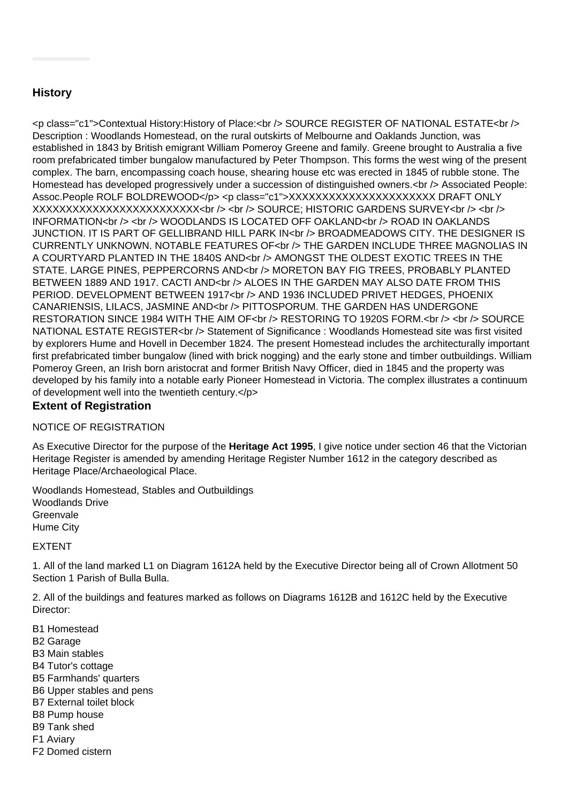# **History**

<p class="c1">Contextual History:History of Place:<br />
>SOURCE REGISTER OF NATIONAL ESTATE<br />
/> Description : Woodlands Homestead, on the rural outskirts of Melbourne and Oaklands Junction, was established in 1843 by British emigrant William Pomeroy Greene and family. Greene brought to Australia a five room prefabricated timber bungalow manufactured by Peter Thompson. This forms the west wing of the present complex. The barn, encompassing coach house, shearing house etc was erected in 1845 of rubble stone. The Homestead has developed progressively under a succession of distinguished owners.<br />>> /> Associated People: Assoc.People ROLF BOLDREWOOD</p> <p class="c1">XXXXXXXXXXXXXXXXXXXXXX DRAFT ONLY  $\overline{XX}$  $\overline{XX}$  $\overline{XX}$  $\overline{XX}$  $\overline{XX}$  $\overline{XX}$  $\overline{XX}$  $\overline{XX}$  $\overline{XX}$  $\overline{XX}$  $\overline{XX}$  $\overline{XX}$  $\overline{XX}$  $\overline{XX}$  $\overline{XX}$  $\overline{XX}$  $\overline{XX}$  $\overline{XX}$  $\overline{XX}$  $\overline{XX}$  $\overline{XX}$  $\overline{XX}$  $\overline{XX}$  $\overline{XX}$  $\overline{XX}$  $\overline{XX}$  $\overline{XX}$  $\overline{$ INFORMATION<br />> <br />> WOODLANDS IS LOCATED OFF OAKLAND<br />>
/>>
ROAD IN OAKLANDS JUNCTION. IT IS PART OF GELLIBRAND HILL PARK IN<br /> BROADMEADOWS CITY. THE DESIGNER IS CURRENTLY UNKNOWN. NOTABLE FEATURES OF<br />>
THE GARDEN INCLUDE THREE MAGNOLIAS IN A COURTYARD PLANTED IN THE 1840S AND<br />>
AMONGST THE OLDEST EXOTIC TREES IN THE STATE. LARGE PINES, PEPPERCORNS AND<br />b/>>> MORETON BAY FIG TREES, PROBABLY PLANTED BETWEEN 1889 AND 1917. CACTI AND<br />>
/>>
ALOES IN THE GARDEN MAY ALSO DATE FROM THIS PERIOD. DEVELOPMENT BETWEEN 1917<br />br />> AND 1936 INCLUDED PRIVET HEDGES, PHOENIX CANARIENSIS, LILACS, JASMINE AND<br />br /> PITTOSPORUM. THE GARDEN HAS UNDERGONE RESTORATION SINCE 1984 WITH THE AIM OF<br />>
RESTORING TO 1920S FORM.<br />
</a>
</a>
</a>
</a>
</a>
RESTORATION SINCE 1984 WITH THE AIM OF<br />
</a>
RESTORING TO 1920S FORM.<br />
</a>
</a>
</a>
</a>
</a>
</a>
LP 30URCE NATIONAL ESTATE REGISTER<br /> Statement of Significance : Woodlands Homestead site was first visited by explorers Hume and Hovell in December 1824. The present Homestead includes the architecturally important first prefabricated timber bungalow (lined with brick nogging) and the early stone and timber outbuildings. William Pomeroy Green, an Irish born aristocrat and former British Navy Officer, died in 1845 and the property was developed by his family into a notable early Pioneer Homestead in Victoria. The complex illustrates a continuum of development well into the twentieth century.</p>

## **Extent of Registration**

## NOTICE OF REGISTRATION

As Executive Director for the purpose of the **Heritage Act 1995**, I give notice under section 46 that the Victorian Heritage Register is amended by amending Heritage Register Number 1612 in the category described as Heritage Place/Archaeological Place.

Woodlands Homestead, Stables and Outbuildings Woodlands Drive **Greenvale** Hume City

#### EXTENT

1. All of the land marked L1 on Diagram 1612A held by the Executive Director being all of Crown Allotment 50 Section 1 Parish of Bulla Bulla.

2. All of the buildings and features marked as follows on Diagrams 1612B and 1612C held by the Executive Director:

B1 Homestead B2 Garage B3 Main stables B4 Tutor's cottage B5 Farmhands' quarters B6 Upper stables and pens B7 External toilet block B8 Pump house B9 Tank shed F1 Aviary F2 Domed cistern